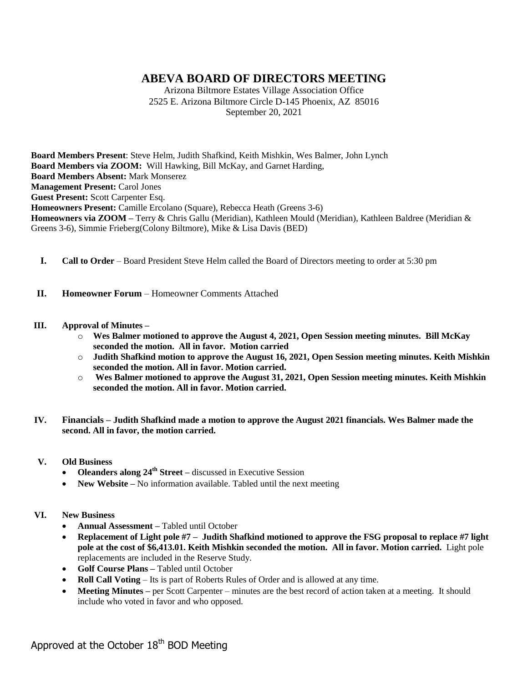# **ABEVA BOARD OF DIRECTORS MEETING**

Arizona Biltmore Estates Village Association Office 2525 E. Arizona Biltmore Circle D-145 Phoenix, AZ 85016 September 20, 2021

**Board Members Present**: Steve Helm, Judith Shafkind, Keith Mishkin, Wes Balmer, John Lynch **Board Members via ZOOM:** Will Hawking, Bill McKay, and Garnet Harding, **Board Members Absent:** Mark Monserez **Management Present: Carol Jones Guest Present:** Scott Carpenter Esq. **Homeowners Present:** Camille Ercolano (Square), Rebecca Heath (Greens 3-6) **Homeowners via ZOOM –** Terry & Chris Gallu (Meridian), Kathleen Mould (Meridian), Kathleen Baldree (Meridian & Greens 3-6), Simmie Frieberg(Colony Biltmore), Mike & Lisa Davis (BED)

- **I. Call to Order** Board President Steve Helm called the Board of Directors meeting to order at 5:30 pm
- **II. Homeowner Forum** Homeowner Comments Attached

### **III. Approval of Minutes –**

- o **Wes Balmer motioned to approve the August 4, 2021, Open Session meeting minutes. Bill McKay seconded the motion. All in favor. Motion carried**
- o **Judith Shafkind motion to approve the August 16, 2021, Open Session meeting minutes. Keith Mishkin seconded the motion. All in favor. Motion carried.**
- o **Wes Balmer motioned to approve the August 31, 2021, Open Session meeting minutes. Keith Mishkin seconded the motion. All in favor. Motion carried.**
- **IV. Financials – Judith Shafkind made a motion to approve the August 2021 financials. Wes Balmer made the second. All in favor, the motion carried.**
- **V. Old Business**
	- **Oleanders along 24th Street –** discussed in Executive Session
	- **New Website** No information available. Tabled until the next meeting
- **VI. New Business**
	- **Annual Assessment –** Tabled until October
	- **Replacement of Light pole #7 – Judith Shafkind motioned to approve the FSG proposal to replace #7 light pole at the cost of \$6,413.01. Keith Mishkin seconded the motion. All in favor. Motion carried.** Light pole replacements are included in the Reserve Study.
	- **Golf Course Plans –** Tabled until October
	- **Roll Call Voting** Its is part of Roberts Rules of Order and is allowed at any time.
	- **Meeting Minutes –** per Scott Carpenter minutes are the best record of action taken at a meeting. It should include who voted in favor and who opposed.

Approved at the October  $18<sup>th</sup>$  BOD Meeting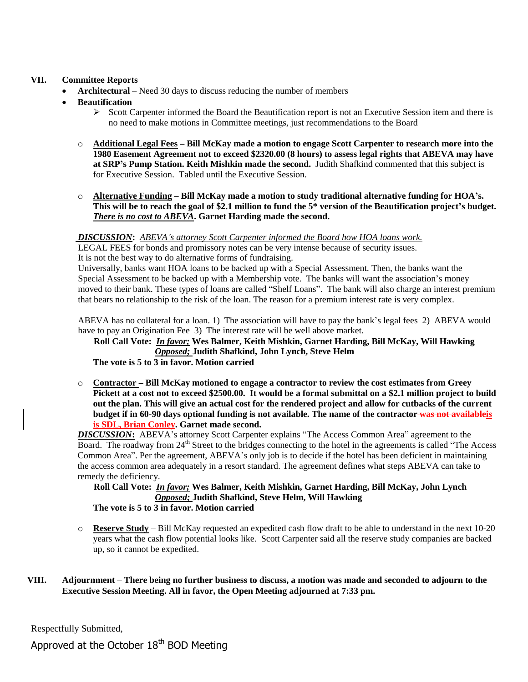### **VII. Committee Reports**

- **Architectural** Need 30 days to discuss reducing the number of members
- **Beautification**
	- $\triangleright$  Scott Carpenter informed the Board the Beautification report is not an Executive Session item and there is no need to make motions in Committee meetings, just recommendations to the Board
	- o **Additional Legal Fees – Bill McKay made a motion to engage Scott Carpenter to research more into the 1980 Easement Agreement not to exceed \$2320.00 (8 hours) to assess legal rights that ABEVA may have at SRP's Pump Station. Keith Mishkin made the second.** Judith Shafkind commented that this subject is for Executive Session. Tabled until the Executive Session.
	- o **Alternative Funding – Bill McKay made a motion to study traditional alternative funding for HOA's. This will be to reach the goal of \$2.1 million to fund the 5\* version of the Beautification project's budget.**  *There is no cost to ABEVA***. Garnet Harding made the second.**

### *DISCUSSION***:** *ABEVA's attorney Scott Carpenter informed the Board how HOA loans work.*

 LEGAL FEES for bonds and promissory notes can be very intense because of security issues. It is not the best way to do alternative forms of fundraising.

 Universally, banks want HOA loans to be backed up with a Special Assessment. Then, the banks want the Special Assessment to be backed up with a Membership vote. The banks will want the association's money moved to their bank. These types of loans are called "Shelf Loans". The bank will also charge an interest premium that bears no relationship to the risk of the loan. The reason for a premium interest rate is very complex.

 ABEVA has no collateral for a loan. 1) The association will have to pay the bank's legal fees 2) ABEVA would have to pay an Origination Fee 3) The interest rate will be well above market.

 **Roll Call Vote:** *In favor;* **Wes Balmer, Keith Mishkin, Garnet Harding, Bill McKay, Will Hawking** *Opposed;* **Judith Shafkind, John Lynch, Steve Helm**

## **The vote is 5 to 3 in favor. Motion carried**

o **Contractor – Bill McKay motioned to engage a contractor to review the cost estimates from Greey Pickett at a cost not to exceed \$2500.00. It would be a formal submittal on a \$2.1 million project to build out the plan. This will give an actual cost for the rendered project and allow for cutbacks of the current budget if in 60-90 days optional funding is not available. The name of the contractor was not availableis is SDL, Brian Conley. Garnet made second.**

**DISCUSSION:** ABEVA's attorney Scott Carpenter explains "The Access Common Area" agreement to the Board. The roadway from 24<sup>th</sup> Street to the bridges connecting to the hotel in the agreements is called "The Access" Common Area". Per the agreement, ABEVA's only job is to decide if the hotel has been deficient in maintaining the access common area adequately in a resort standard. The agreement defines what steps ABEVA can take to remedy the deficiency.

## **Roll Call Vote:** *In favor;* **Wes Balmer, Keith Mishkin, Garnet Harding, Bill McKay, John Lynch** *Opposed;* **Judith Shafkind, Steve Helm, Will Hawking**

**The vote is 5 to 3 in favor. Motion carried**

o **Reserve Study –** Bill McKay requested an expedited cash flow draft to be able to understand in the next 10-20 years what the cash flow potential looks like. Scott Carpenter said all the reserve study companies are backed up, so it cannot be expedited.

### **VIII. Adjournment** – **There being no further business to discuss, a motion was made and seconded to adjourn to the Executive Session Meeting. All in favor, the Open Meeting adjourned at 7:33 pm.**

Respectfully Submitted,

Approved at the October  $18<sup>th</sup>$  BOD Meeting